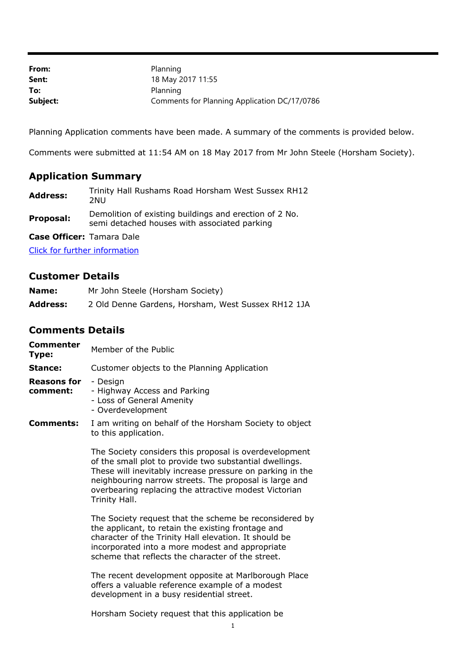| From:    | Planning                                     |
|----------|----------------------------------------------|
| Sent:    | 18 May 2017 11:55                            |
| To:      | Planning                                     |
| Subject: | Comments for Planning Application DC/17/0786 |

Planning Application comments have been made. A summary of the comments is provided below.

Comments were submitted at 11:54 AM on 18 May 2017 from Mr John Steele (Horsham Society).

## **Application Summary**

| <b>Address:</b> | 2NU. | Trinity Hall Rushams Road Horsham West Sussex RH12     |  |  |  |
|-----------------|------|--------------------------------------------------------|--|--|--|
|                 |      | Demolition of existing buildings and erection of 2 No. |  |  |  |

**Proposal:** Demolition of existing buildings and erection of 2 No.<br>semi detached houses with associated parking

**Case Officer:** Tamara Dale

[Click for further information](https://public-access.horsham.gov.uk/public-access//centralDistribution.do?caseType=Application&keyVal=ONXZ6ZIJGYO00)

## **Customer Details**

| Name:           | Mr John Steele (Horsham Society)                   |
|-----------------|----------------------------------------------------|
| <b>Address:</b> | 2 Old Denne Gardens, Horsham, West Sussex RH12 1JA |

## **Comments Details**

| Commenter<br>Type:             | Member of the Public                                                                                                                                                                                                                                                                                               |
|--------------------------------|--------------------------------------------------------------------------------------------------------------------------------------------------------------------------------------------------------------------------------------------------------------------------------------------------------------------|
| Stance:                        | Customer objects to the Planning Application                                                                                                                                                                                                                                                                       |
| <b>Reasons for</b><br>comment: | - Design<br>- Highway Access and Parking<br>- Loss of General Amenity<br>- Overdevelopment                                                                                                                                                                                                                         |
| Comments:                      | I am writing on behalf of the Horsham Society to object<br>to this application.                                                                                                                                                                                                                                    |
|                                | The Society considers this proposal is overdevelopment<br>of the small plot to provide two substantial dwellings.<br>These will inevitably increase pressure on parking in the<br>neighbouring narrow streets. The proposal is large and<br>overbearing replacing the attractive modest Victorian<br>Trinity Hall. |
|                                | The Society request that the scheme be reconsidered by<br>the applicant, to retain the existing frontage and<br>character of the Trinity Hall elevation. It should be<br>incorporated into a more modest and appropriate<br>scheme that reflects the character of the street.                                      |
|                                | The recent development opposite at Marlborough Place<br>offers a valuable reference example of a modest<br>development in a busy residential street.                                                                                                                                                               |
|                                | Horsham Society request that this application be                                                                                                                                                                                                                                                                   |